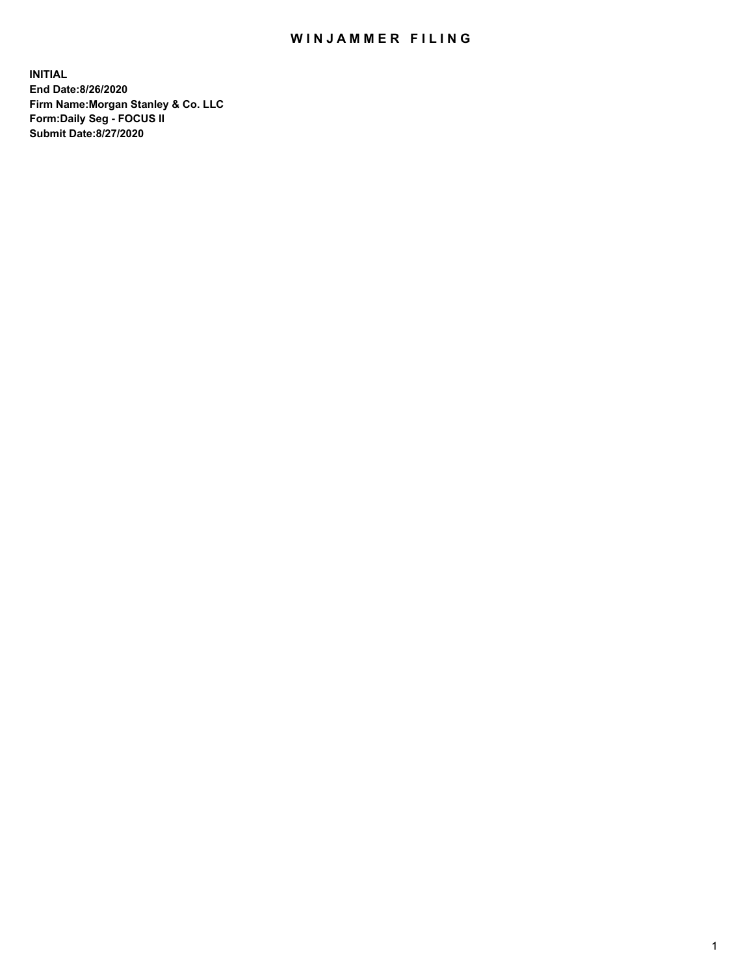## WIN JAMMER FILING

**INITIAL End Date:8/26/2020 Firm Name:Morgan Stanley & Co. LLC Form:Daily Seg - FOCUS II Submit Date:8/27/2020**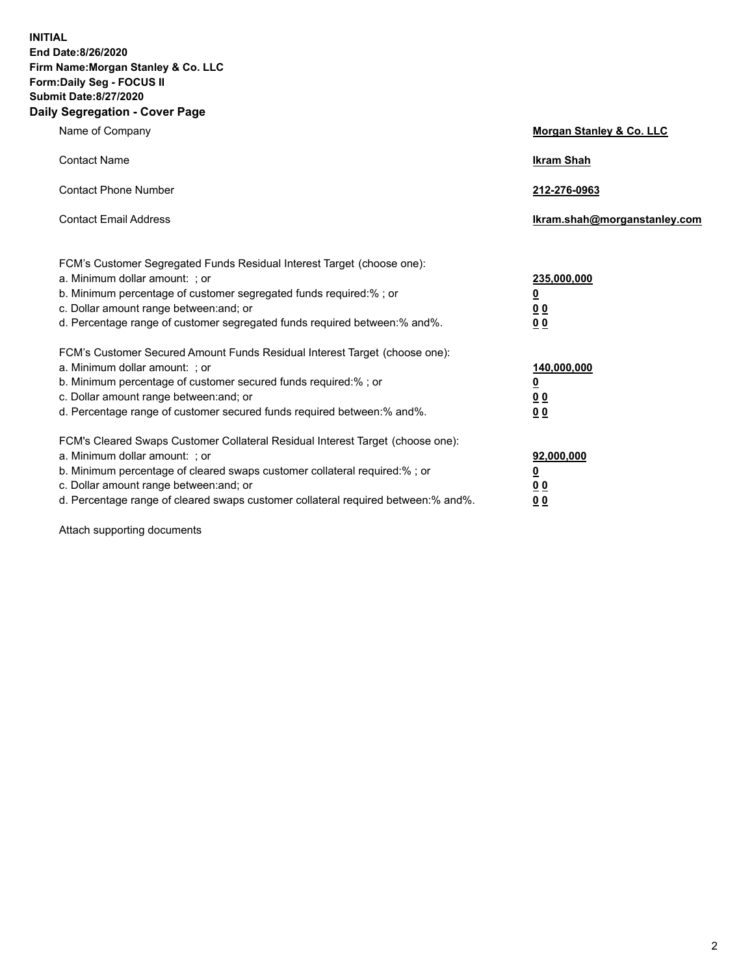**INITIAL End Date:8/26/2020 Firm Name:Morgan Stanley & Co. LLC Form:Daily Seg - FOCUS II Submit Date:8/27/2020 Daily Segregation - Cover Page**

| Name of Company                                                                                                                                                                                                                                                                                                                | Morgan Stanley & Co. LLC                                    |
|--------------------------------------------------------------------------------------------------------------------------------------------------------------------------------------------------------------------------------------------------------------------------------------------------------------------------------|-------------------------------------------------------------|
| <b>Contact Name</b>                                                                                                                                                                                                                                                                                                            | <b>Ikram Shah</b>                                           |
| <b>Contact Phone Number</b>                                                                                                                                                                                                                                                                                                    | 212-276-0963                                                |
| <b>Contact Email Address</b>                                                                                                                                                                                                                                                                                                   | Ikram.shah@morganstanley.com                                |
| FCM's Customer Segregated Funds Residual Interest Target (choose one):<br>a. Minimum dollar amount: ; or<br>b. Minimum percentage of customer segregated funds required:% ; or<br>c. Dollar amount range between: and; or<br>d. Percentage range of customer segregated funds required between:% and%.                         | 235,000,000<br><u>0</u><br><u>00</u><br>00                  |
| FCM's Customer Secured Amount Funds Residual Interest Target (choose one):<br>a. Minimum dollar amount: ; or<br>b. Minimum percentage of customer secured funds required:%; or<br>c. Dollar amount range between: and; or<br>d. Percentage range of customer secured funds required between: % and %.                          | 140,000,000<br><u>0</u><br>0 <sub>0</sub><br>0 <sub>0</sub> |
| FCM's Cleared Swaps Customer Collateral Residual Interest Target (choose one):<br>a. Minimum dollar amount: ; or<br>b. Minimum percentage of cleared swaps customer collateral required:% ; or<br>c. Dollar amount range between: and; or<br>d. Percentage range of cleared swaps customer collateral required between:% and%. | 92,000,000<br><u>0</u><br><u>00</u><br>00                   |

Attach supporting documents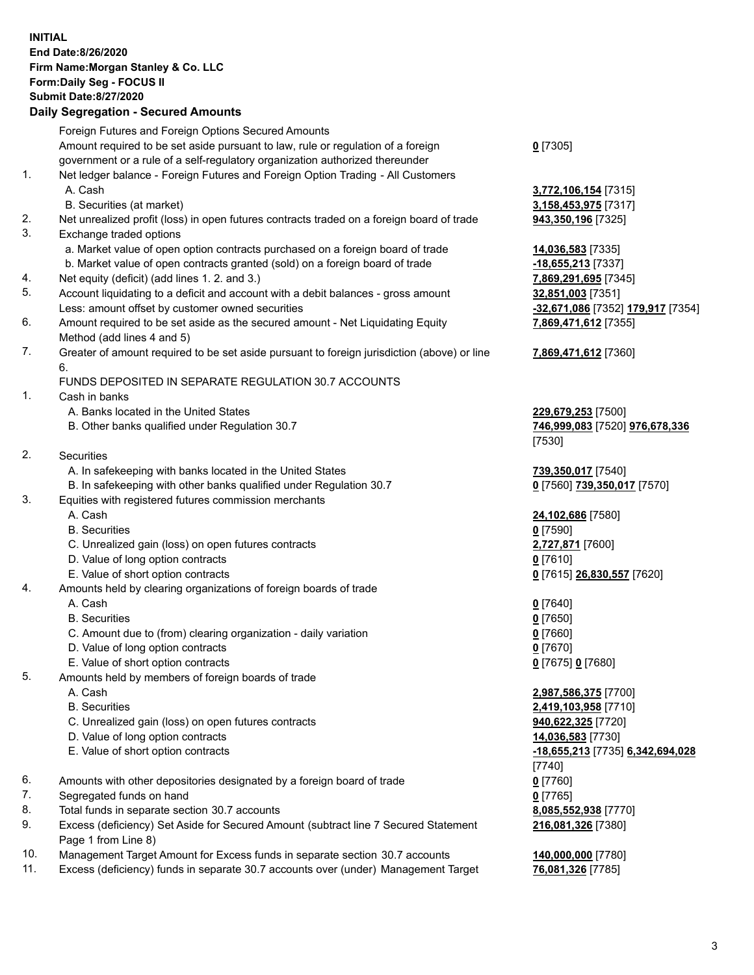## **INITIAL End Date:8/26/2020 Firm Name:Morgan Stanley & Co. LLC Form:Daily Seg - FOCUS II Submit Date:8/27/2020 Daily Segregation - Secured Amounts**

Foreign Futures and Foreign Options Secured Amounts Amount required to be set aside pursuant to law, rule or regulation of a foreign government or a rule of a self-regulatory organization authorized thereunder **0** [7305] 1. Net ledger balance - Foreign Futures and Foreign Option Trading - All Customers A. Cash **3,772,106,154** [7315] B. Securities (at market) **3,158,453,975** [7317] 2. Net unrealized profit (loss) in open futures contracts traded on a foreign board of trade **943,350,196** [7325] 3. Exchange traded options a. Market value of open option contracts purchased on a foreign board of trade **14,036,583** [7335] b. Market value of open contracts granted (sold) on a foreign board of trade **-18,655,213** [7337] 4. Net equity (deficit) (add lines 1. 2. and 3.) **7,869,291,695** [7345] 5. Account liquidating to a deficit and account with a debit balances - gross amount **32,851,003** [7351] Less: amount offset by customer owned securities **-32,671,086** [7352] **179,917** [7354] 6. Amount required to be set aside as the secured amount - Net Liquidating Equity Method (add lines 4 and 5) **7,869,471,612** [7355] 7. Greater of amount required to be set aside pursuant to foreign jurisdiction (above) or line 6. FUNDS DEPOSITED IN SEPARATE REGULATION 30.7 ACCOUNTS 1. Cash in banks A. Banks located in the United States **229,679,253** [7500] B. Other banks qualified under Regulation 30.7 **746,999,083** [7520] **976,678,336** [7530] 2. Securities A. In safekeeping with banks located in the United States **739,350,017** [7540] B. In safekeeping with other banks qualified under Regulation 30.7 **0** [7560] **739,350,017** [7570] 3. Equities with registered futures commission merchants A. Cash **24,102,686** [7580] B. Securities **0** [7590] C. Unrealized gain (loss) on open futures contracts **2,727,871** [7600] D. Value of long option contracts **0** [7610] E. Value of short option contracts **0** [7615] **26,830,557** [7620] 4. Amounts held by clearing organizations of foreign boards of trade A. Cash **0** [7640] B. Securities **0** [7650] C. Amount due to (from) clearing organization - daily variation **0** [7660] D. Value of long option contracts **0** [7670] E. Value of short option contracts **0** [7675] **0** [7680] 5. Amounts held by members of foreign boards of trade A. Cash **2,987,586,375** [7700] B. Securities **2,419,103,958** [7710] C. Unrealized gain (loss) on open futures contracts **940,622,325** [7720] D. Value of long option contracts **14,036,583** [7730] E. Value of short option contracts **-18,655,213** [7735] **6,342,694,028** [7740] 6. Amounts with other depositories designated by a foreign board of trade **0** [7760] 7. Segregated funds on hand **0** [7765] 8. Total funds in separate section 30.7 accounts **8,085,552,938** [7770] 9. Excess (deficiency) Set Aside for Secured Amount (subtract line 7 Secured Statement Page 1 from Line 8)

- 10. Management Target Amount for Excess funds in separate section 30.7 accounts **140,000,000** [7780]
- 11. Excess (deficiency) funds in separate 30.7 accounts over (under) Management Target **76,081,326** [7785]

**7,869,471,612** [7360]

**216,081,326** [7380]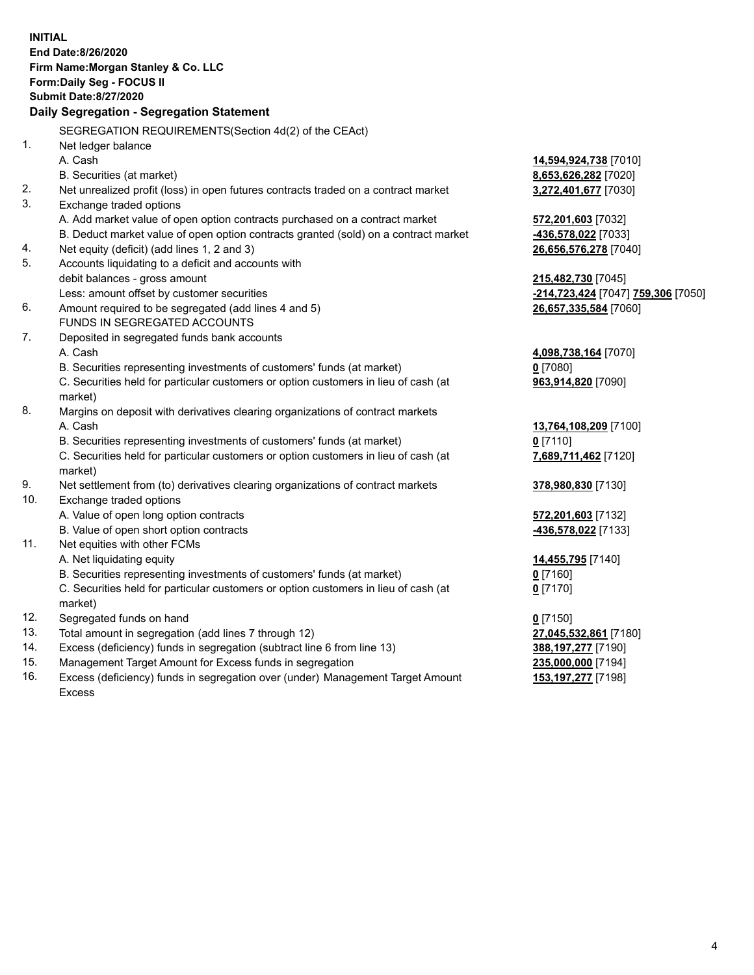| <b>INITIAL</b> |                                                                                     |                                    |
|----------------|-------------------------------------------------------------------------------------|------------------------------------|
|                | End Date:8/26/2020                                                                  |                                    |
|                | Firm Name: Morgan Stanley & Co. LLC                                                 |                                    |
|                | Form: Daily Seg - FOCUS II                                                          |                                    |
|                | <b>Submit Date: 8/27/2020</b>                                                       |                                    |
|                | Daily Segregation - Segregation Statement                                           |                                    |
|                | SEGREGATION REQUIREMENTS(Section 4d(2) of the CEAct)                                |                                    |
| 1.             | Net ledger balance                                                                  |                                    |
|                | A. Cash                                                                             | 14,594,924,738 [7010]              |
|                | B. Securities (at market)                                                           | 8,653,626,282 [7020]               |
| 2.             | Net unrealized profit (loss) in open futures contracts traded on a contract market  | 3,272,401,677 [7030]               |
| 3.             | Exchange traded options                                                             |                                    |
|                | A. Add market value of open option contracts purchased on a contract market         | 572,201,603 [7032]                 |
|                | B. Deduct market value of open option contracts granted (sold) on a contract market | -436,578,022 [7033]                |
| 4.             | Net equity (deficit) (add lines 1, 2 and 3)                                         | 26,656,576,278 [7040]              |
| 5.             | Accounts liquidating to a deficit and accounts with                                 |                                    |
|                | debit balances - gross amount                                                       | 215,482,730 [7045]                 |
|                | Less: amount offset by customer securities                                          | -214,723,424 [7047] 759,306 [7050] |
| 6.             | Amount required to be segregated (add lines 4 and 5)                                | 26,657,335,584 [7060]              |
|                | FUNDS IN SEGREGATED ACCOUNTS                                                        |                                    |
| 7.             | Deposited in segregated funds bank accounts                                         |                                    |
|                | A. Cash                                                                             | 4,098,738,164 [7070]               |
|                | B. Securities representing investments of customers' funds (at market)              | $0$ [7080]                         |
|                | C. Securities held for particular customers or option customers in lieu of cash (at | 963,914,820 [7090]                 |
|                | market)                                                                             |                                    |
| 8.             | Margins on deposit with derivatives clearing organizations of contract markets      |                                    |
|                | A. Cash                                                                             | 13,764,108,209 [7100]              |
|                | B. Securities representing investments of customers' funds (at market)              | $0$ [7110]                         |
|                | C. Securities held for particular customers or option customers in lieu of cash (at | 7,689,711,462 [7120]               |
|                | market)                                                                             |                                    |
| 9.             | Net settlement from (to) derivatives clearing organizations of contract markets     | 378,980,830 [7130]                 |
| 10.            | Exchange traded options                                                             |                                    |
|                | A. Value of open long option contracts                                              | 572,201,603 [7132]                 |
|                | B. Value of open short option contracts                                             | 436,578,022 [7133]                 |
| 11.            | Net equities with other FCMs                                                        |                                    |
|                | A. Net liquidating equity                                                           | 14,455,795 [7140]                  |
|                | B. Securities representing investments of customers' funds (at market)              | $0$ [7160]                         |
|                | C. Securities held for particular customers or option customers in lieu of cash (at | <u>0</u> [7170]                    |
|                | market)                                                                             |                                    |
| 12.            | Segregated funds on hand                                                            | $0$ [7150]                         |
| 13.            | Total amount in segregation (add lines 7 through 12)                                | 27,045,532,861 [7180]              |
| 14.            | Excess (deficiency) funds in segregation (subtract line 6 from line 13)             | 388,197,277 [7190]                 |
| 15.            | Management Target Amount for Excess funds in segregation                            | 235,000,000 [7194]                 |
| 16.            | Excess (deficiency) funds in segregation over (under) Management Target Amount      | 153, 197, 277 [7198]               |

16. Excess (deficiency) funds in segregation over (under) Management Target Amount Excess